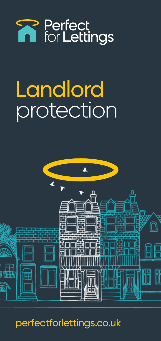

# **Landlord** protection



perfectforlettings.co.uk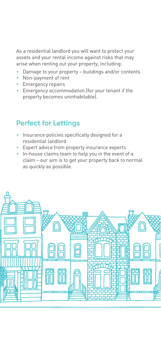As a residential landlord you will want to protect your assets and your rental income against risks that may arise when renting out your property, including:

- Damage to your property buildings and/or contents
- Non-payment of rent
- Emergency repairs
- Emergency accommodation (for your tenant if the property becomes uninhabitable).

## **Perfect for Lettings**

- Insurance policies specifically designed for a residential landlord
- Expert advice from property insurance experts
- In-house claims team to help you in the event of a claim – our aim is to get your property back to normal as quickly as possible.

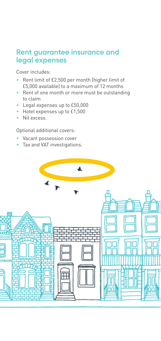#### **Rent guarantee insurance and legal expenses**

Cover includes:

- Rent limit of £2,500 per month (higher limit of £5,000 available) to a maximum of 12 months
- Rent of one month or more must be outstanding to claim
- Legal expenses up to £50,000
- Hotel expenses up to £1,500
- Nil excess.

Optional additional covers:

- Vacant possession cover
- Tax and VAT investigations.

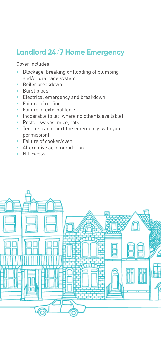## **Landlord 24/7 Home Emergency**

Cover includes:

- Blockage, breaking or flooding of plumbing and/or drainage system
- Boiler breakdown
- Burst pipes
- Electrical emergency and breakdown
- Failure of roofing
- Failure of external locks
- Inoperable toilet (where no other is available)
- Pests wasps, mice, rats
- Tenants can report the emergency (with your permission)
- Failure of cooker/oven
- Alternative accommodation
- Nil excess.

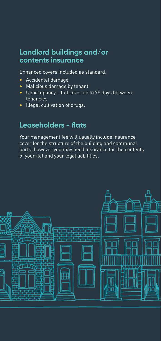#### **Landlord buildings and/or contents insurance**

Enhanced covers included as standard:

- Accidental damage
- Malicious damage by tenant
- Unoccupancy full cover up to 75 days between tenancies
- Illegal cultivation of drugs.

### **Leaseholders - flats**

Your management fee will usually include insurance cover for the structure of the building and communal parts, however you may need insurance for the contents of your flat and your legal liabilities.